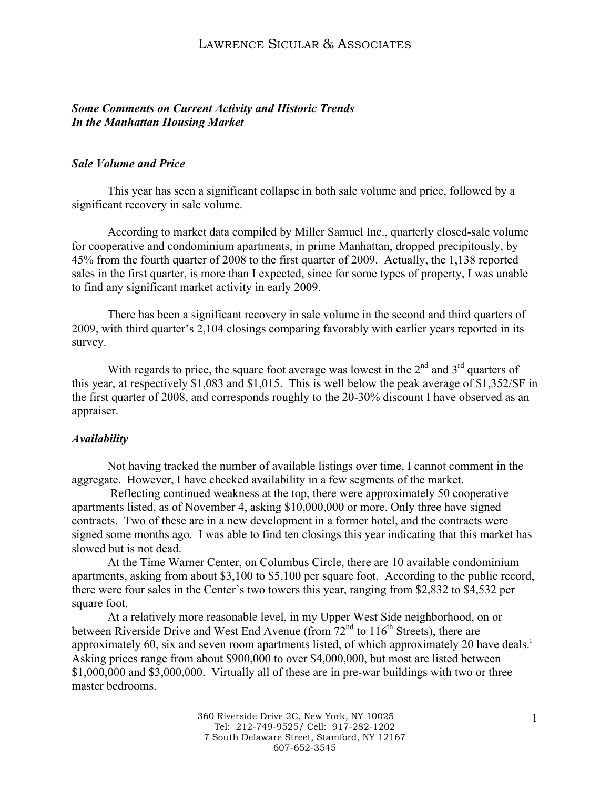### *Some Comments on Current Activity and Historic Trends In the Manhattan Housing Market*

### *Sale Volume and Price*

This year has seen a significant collapse in both sale volume and price, followed by a significant recovery in sale volume.

According to market data compiled by Miller Samuel Inc., quarterly closed-sale volume for cooperative and condominium apartments, in prime Manhattan, dropped precipitously, by 45% from the fourth quarter of 2008 to the first quarter of 2009. Actually, the 1,138 reported sales in the first quarter, is more than I expected, since for some types of property, I was unable to find any significant market activity in early 2009.

There has been a significant recovery in sale volume in the second and third quarters of 2009, with third quarter's 2,104 closings comparing favorably with earlier years reported in its survey.

With regards to price, the square foot average was lowest in the  $2<sup>nd</sup>$  and  $3<sup>rd</sup>$  quarters of this year, at respectively \$1,083 and \$1,015. This is well below the peak average of \$1,352/SF in the first quarter of 2008, and corresponds roughly to the 20-30% discount I have observed as an appraiser.

#### *Availability*

Not having tracked the number of available listings over time, I cannot comment in the aggregate. However, I have checked availability in a few segments of the market.

Reflecting continued weakness at the top, there were approximately 50 cooperative apartments listed, as of November 4, asking \$10,000,000 or more. Only three have signed contracts. Two of these are in a new development in a former hotel, and the contracts were signed some months ago. I was able to find ten closings this year indicating that this market has slowed but is not dead.

At the Time Warner Center, on Columbus Circle, there are 10 available condominium apartments, asking from about \$3,100 to \$5,100 per square foot. According to the public record, there were four sales in the Center's two towers this year, ranging from \$2,832 to \$4,532 per square foot.

At a relatively more reasonable level, in my Upper West Side neighborhood, on or between Riverside Drive and West End Avenue (from  $72<sup>nd</sup>$  to  $116<sup>th</sup>$  Streets), there are approximately 60, six and seven room apartments listed, of which approximately 20 have deals.<sup>i</sup> Asking prices range from about \$900,000 to over \$4,000,000, but most are listed between \$1,000,000 and \$3,000,000. Virtually all of these are in pre-war buildings with two or three master bedrooms.

> 360 Riverside Drive 2C, New York, NY 10025 Tel: 212-749-9525/ Cell: 917-282-1202 7 South Delaware Street, Stamford, NY 12167 607-652-3545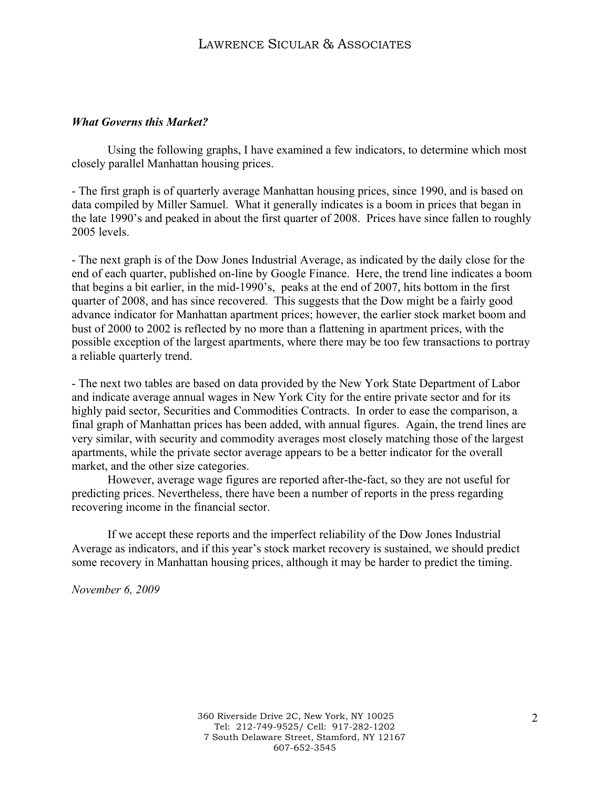### *What Governs this Market?*

Using the following graphs, I have examined a few indicators, to determine which most closely parallel Manhattan housing prices.

- The first graph is of quarterly average Manhattan housing prices, since 1990, and is based on data compiled by Miller Samuel. What it generally indicates is a boom in prices that began in the late 1990's and peaked in about the first quarter of 2008. Prices have since fallen to roughly 2005 levels.

- The next graph is of the Dow Jones Industrial Average, as indicated by the daily close for the end of each quarter, published on-line by Google Finance. Here, the trend line indicates a boom that begins a bit earlier, in the mid-1990's, peaks at the end of 2007, hits bottom in the first quarter of 2008, and has since recovered. This suggests that the Dow might be a fairly good advance indicator for Manhattan apartment prices; however, the earlier stock market boom and bust of 2000 to 2002 is reflected by no more than a flattening in apartment prices, with the possible exception of the largest apartments, where there may be too few transactions to portray a reliable quarterly trend.

- The next two tables are based on data provided by the New York State Department of Labor and indicate average annual wages in New York City for the entire private sector and for its highly paid sector, Securities and Commodities Contracts. In order to ease the comparison, a final graph of Manhattan prices has been added, with annual figures. Again, the trend lines are very similar, with security and commodity averages most closely matching those of the largest apartments, while the private sector average appears to be a better indicator for the overall market, and the other size categories.

However, average wage figures are reported after-the-fact, so they are not useful for predicting prices. Nevertheless, there have been a number of reports in the press regarding recovering income in the financial sector.

If we accept these reports and the imperfect reliability of the Dow Jones Industrial Average as indicators, and if this year's stock market recovery is sustained, we should predict some recovery in Manhattan housing prices, although it may be harder to predict the timing.

*November 6, 2009*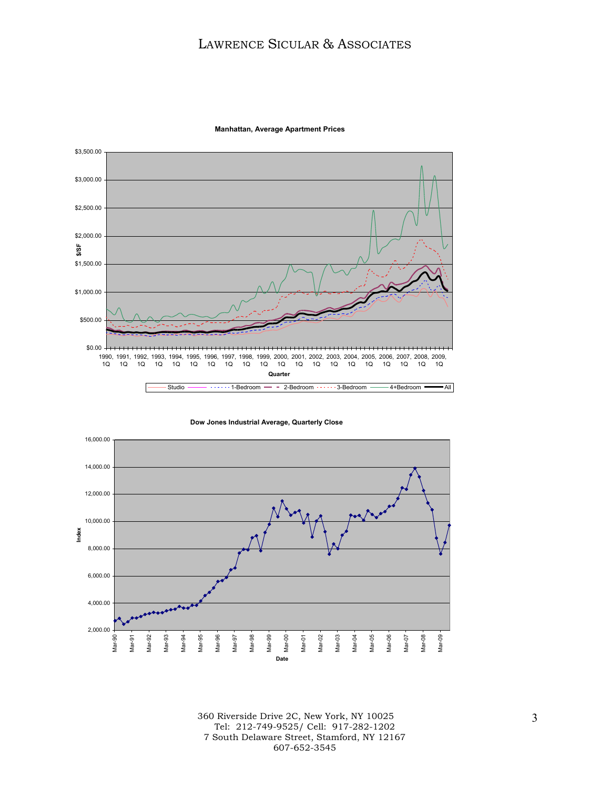

**Manhattan, Average Apartment Prices**

**Dow Jones Industrial Average, Quarterly Close**



360 Riverside Drive 2C, New York, NY 10025 Tel: 212-749-9525/ Cell: 917-282-1202 7 South Delaware Street, Stamford, NY 12167 607-652-3545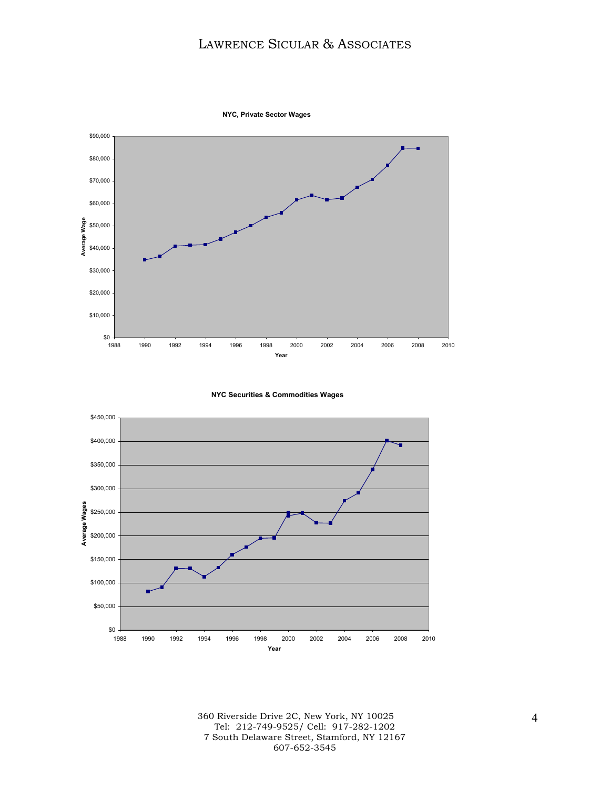

**NYC, Private Sector Wages**

**NYC Securities & Commodities Wages**



360 Riverside Drive 2C, New York, NY 10025 Tel: 212-749-9525/ Cell: 917-282-1202 7 South Delaware Street, Stamford, NY 12167 607-652-3545